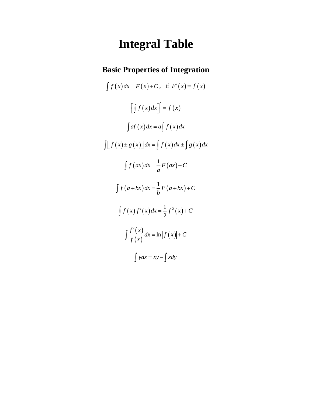# **Integral Table**

# **Basic Properties of Integration**

$$
\int f(x)dx = F(x) + C, \text{ if } F'(x) = f(x)
$$
  

$$
\left[\int f(x)dx\right]' = f(x)
$$
  

$$
\int af(x)dx = a\int f(x)dx
$$
  

$$
\int [f(x) \pm g(x)]dx = \int f(x)dx \pm \int g(x)dx
$$
  

$$
\int f(ax)dx = \frac{1}{a}F(ax) + C
$$
  

$$
\int f(a+bx)dx = \frac{1}{b}F(a+bx) + C
$$
  

$$
\int f(x)f'(x)dx = \frac{1}{2}f^2(x) + C
$$
  

$$
\int \frac{f'(x)}{f(x)}dx = \ln|f(x)| + C
$$
  

$$
\int ydx = xy - \int xdy
$$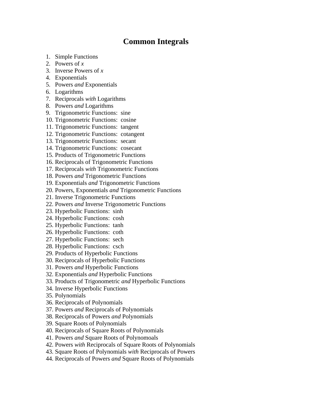#### **Common Integrals**

- 1. Simple Functions
- 2. Powers of *x*
- 3. Inverse Powers of *x*
- 4. Exponentials
- 5. Powers *and* Exponentials
- 6. Logarithms
- 7. Reciprocals *with* Logarithms
- 8. Powers *and* Logarithms
- 9. Trigonometric Functions: sine
- 10. Trigonometric Functions: cosine
- 11. Trigonometric Functions: tangent
- 12. Trigonometric Functions: cotangent
- 13. Trigonometric Functions: secant
- 14. Trigonometric Functions: cosecant
- 15. Products of Trigonometric Functions
- 16. Reciprocals of Trigonometric Functions
- 17. Reciprocals *with* Trigonometric Functions
- 18. Powers *and* Trigonometric Functions
- 19. Exponentials *and* Trigonometric Functions
- 20. Powers, Exponentials *and* Trigonometric Functions
- 21. Inverse Trigonometric Functions
- 22. Powers *and* Inverse Trigonometric Functions
- 23. Hyperbolic Functions: sinh
- 24. Hyperbolic Functions: cosh
- 25. Hyperbolic Functions: tanh
- 26. Hyperbolic Functions: coth
- 27. Hyperbolic Functions: sech
- 28. Hyperbolic Functions: csch
- 29. Products of Hyperbolic Functions
- 30. Reciprocals of Hyperbolic Functions
- 31. Powers *and* Hyperbolic Functions
- 32. Exponentials *and* Hyperbolic Functions
- 33. Products of Trigonometric *and* Hyperbolic Functions
- 34. Inverse Hyperbolic Functions
- 35. Polynomials
- 36. Reciprocals of Polynomials
- 37. Powers *and* Reciprocals of Polynomials
- 38. Reciprocals of Powers *and* Polynomials
- 39. Square Roots of Polynomials
- 40. Reciprocals of Square Roots of Polynomials
- 41. Powers *and* Square Roots of Polynomoals
- 42. Powers *with* Reciprocals of Square Roots of Polynomials
- 43. Square Roots of Polynomials *with* Reciprocals of Powers
- 44. Reciprocals of Powers *and* Square Roots of Polynomials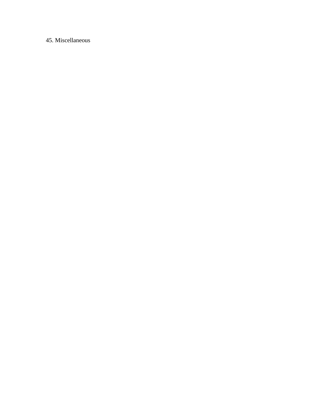#### 45. Miscellaneous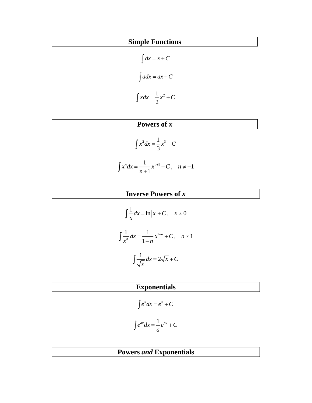# **Simple Functions**

$$
\int dx = x + C
$$

$$
\int a dx = ax + C
$$

$$
\int x dx = \frac{1}{2}x^2 + C
$$

#### **Powers of** *x*

$$
\int x^2 dx = \frac{1}{3}x^3 + C
$$

$$
\int x^n dx = \frac{1}{n+1} x^{n+1} + C, \quad n \neq -1
$$

# **Inverse Powers of** *x*

$$
\int \frac{1}{x} dx = \ln |x| + C, \quad x \neq 0
$$
  

$$
\int \frac{1}{x^n} dx = \frac{1}{1-n} x^{1-n} + C, \quad n \neq 1
$$
  

$$
\int \frac{1}{\sqrt{x}} dx = 2\sqrt{x} + C
$$

# **Exponentials**

$$
\int e^x dx = e^x + C
$$

$$
\int e^{ax} dx = \frac{1}{a} e^{ax} + C
$$

# **Powers** *and* **Exponentials**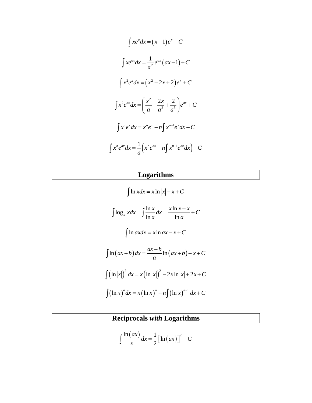$$
\int xe^{x} dx = (x-1)e^{x} + C
$$
  

$$
\int xe^{ax} dx = \frac{1}{a^{2}}e^{ax}(ax-1) + C
$$
  

$$
\int x^{2}e^{x} dx = (x^{2} - 2x + 2)e^{x} + C
$$
  

$$
\int x^{2}e^{ax} dx = \left(\frac{x^{2}}{a} - \frac{2x}{a^{2}} + \frac{2}{a^{3}}\right)e^{ax} + C
$$
  

$$
\int x^{n}e^{x} dx = x^{n}e^{x} - n\int x^{n-1}e^{x} dx + C
$$
  

$$
\int x^{n}e^{ax} dx = \frac{1}{a}(x^{n}e^{ax} - n\int x^{n-1}e^{ax} dx) + C
$$

# **Logarithms**

$$
\int \ln x dx = x \ln |x| - x + C
$$
  

$$
\int \log_a x dx = \int \frac{\ln x}{\ln a} dx = \frac{x \ln x - x}{\ln a} + C
$$
  

$$
\int \ln ax dx = x \ln ax - x + C
$$
  

$$
\int \ln (ax + b) dx = \frac{ax + b}{a} \ln (ax + b) - x + C
$$
  

$$
\int (\ln |x|)^2 dx = x (\ln |x|)^2 - 2x \ln |x| + 2x + C
$$
  

$$
\int (\ln x)^n dx = x (\ln x)^n - n \int (\ln x)^{n-1} dx + C
$$

# **Reciprocals** *with* **Logarithms**

$$
\int \frac{\ln(ax)}{x} dx = \frac{1}{2} \Big[ \ln(ax) \Big]^2 + C
$$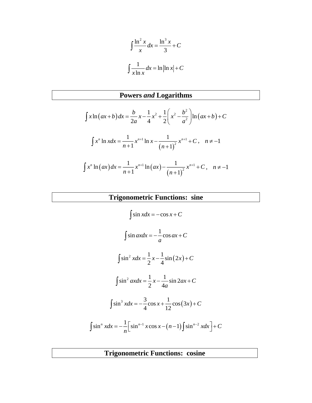$$
\int \frac{\ln^2 x}{x} dx = \frac{\ln^3 x}{3} + C
$$

$$
\int \frac{1}{x \ln x} dx = \ln |\ln x| + C
$$

# **Powers** *and* **Logarithms**

$$
\int x \ln(ax+b) dx = \frac{b}{2a}x - \frac{1}{4}x^2 + \frac{1}{2}\left(x^2 - \frac{b^2}{a^2}\right) \ln(ax+b) + C
$$
  

$$
\int x^n \ln x dx = \frac{1}{n+1}x^{n+1} \ln x - \frac{1}{(n+1)^2}x^{n+1} + C, \quad n \neq -1
$$
  

$$
\int x^n \ln(ax) dx = \frac{1}{n+1}x^{n+1} \ln(ax) - \frac{1}{(n+1)^2}x^{n+1} + C, \quad n \neq -1
$$

# **Trigonometric Functions: sine**

$$
\int \sin x dx = -\cos x + C
$$
  

$$
\int \sin ax dx = -\frac{1}{a} \cos ax + C
$$
  

$$
\int \sin^2 x dx = \frac{1}{2} x - \frac{1}{4} \sin (2x) + C
$$
  

$$
\int \sin^2 ax dx = \frac{1}{2} x - \frac{1}{4a} \sin 2ax + C
$$
  

$$
\int \sin^3 x dx = -\frac{3}{4} \cos x + \frac{1}{12} \cos (3x) + C
$$
  

$$
\int \sin^n x dx = -\frac{1}{n} \Big[ \sin^{n-1} x \cos x - (n-1) \Big] \sin^{n-2} x dx \Big] + C
$$

**Trigonometric Functions: cosine**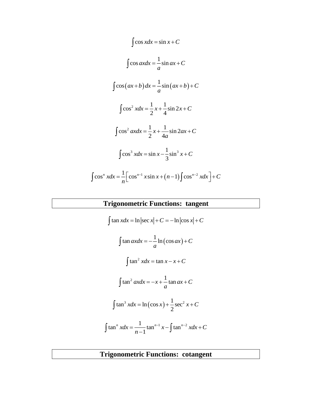$$
\int \cos x dx = \sin x + C
$$
  

$$
\int \cos ax dx = \frac{1}{a} \sin ax + C
$$
  

$$
\int \cos (ax + b) dx = \frac{1}{a} \sin (ax + b) + C
$$
  

$$
\int \cos^2 x dx = \frac{1}{2}x + \frac{1}{4} \sin 2x + C
$$
  

$$
\int \cos^2 ax dx = \frac{1}{2}x + \frac{1}{4a} \sin 2ax + C
$$
  

$$
\int \cos^3 x dx = \sin x - \frac{1}{3} \sin^3 x + C
$$
  

$$
\int \cos^n x dx = \frac{1}{n} \Big[ \cos^{n-1} x \sin x + (n-1) \Big] \cos^{n-2} x dx \Big] + C
$$

# **Trigonometric Functions: tangent**

$$
\int \tan x dx = \ln |\sec x| + C = -\ln |\cos x| + C
$$
  

$$
\int \tan ax dx = -\frac{1}{a} \ln (\cos ax) + C
$$
  

$$
\int \tan^2 x dx = \tan x - x + C
$$
  

$$
\int \tan^2 ax dx = -x + \frac{1}{a} \tan ax + C
$$
  

$$
\int \tan^3 x dx = \ln (\cos x) + \frac{1}{2} \sec^2 x + C
$$
  

$$
\int \tan^n x dx = \frac{1}{n-1} \tan^{n-1} x - \int \tan^{n-2} x dx + C
$$

**Trigonometric Functions: cotangent**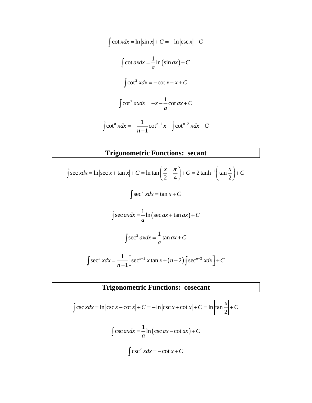$$
\int \cot x dx = \ln|\sin x| + C = -\ln|\csc x| + C
$$

$$
\int \cot ax dx = \frac{1}{a}\ln(\sin ax) + C
$$

$$
\int \cot^2 x dx = -\cot x - x + C
$$

$$
\int \cot^2 ax dx = -x - \frac{1}{a}\cot ax + C
$$

$$
\int \cot^n x dx = -\frac{1}{n-1}\cot^{n-1} x - \int \cot^{n-2} x dx + C
$$

#### **Trigonometric Functions: secant**

sec  $xdx = \ln |\sec x + \tan x| + C = \ln |\tan |\frac{x}{2} + \frac{\pi}{2}| + C = 2 |\tan^{-1}| |\tan^{-1}|$ 2 4 / 2  $\int \sec x dx = \ln |\sec x + \tan x| + C = \ln \tan \left( \frac{x}{2} + \frac{\pi}{4} \right) + C = 2 \tanh^{-1} \left( \tan \frac{x}{2} \right) + C$  $\int \sec^2 x dx = \tan x + C$  $\sec axdx = -\ln(\sec ax + \tan ax) + C$ *a*  $\int \sec ax dx = -\frac{1}{a} \ln (\sec ax + \tan ax) +$  $\sec^2 axdx = \frac{1}{a}\tan ax + C$ *a*  $\int \sec^2 ax dx = \frac{1}{a} \tan ax +$  $\sec^{n} x dx = \frac{1}{1} \int \sec^{n-2} x \tan x + (n-2) \int \sec^{n-2} x \tan x dx$ 1 *n*  $xdx =$   $\frac{1}{2}$   $\sec^{n-2} x \tan x + (n-2)$   $\sec^{n-2} x dx$   $\left|+C\right|$ *n*  $\int \sec^{n} x dx = \frac{1}{n-1} \left[ \sec^{n-2} x \tan x + (n-2) \int \sec^{n-2} x dx \right] +$ 

#### **Trigonometric Functions: cosecant**

$$
\int \csc x dx = \ln|\csc x - \cot x| + C = -\ln|\csc x + \cot x| + C = \ln\left|\tan\frac{x}{2}\right| + C
$$

$$
\int \csc ax dx = \frac{1}{a}\ln(\csc ax - \cot ax) + C
$$

$$
\int \csc^2 x dx = -\cot x + C
$$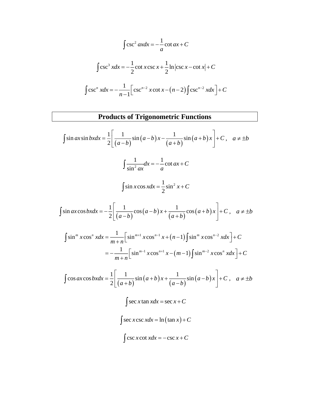$$
\int \csc^2 ax dx = -\frac{1}{a} \cot ax + C
$$
  

$$
\int \csc^3 x dx = -\frac{1}{2} \cot x \csc x + \frac{1}{2} \ln|\csc x - \cot x| + C
$$
  

$$
\int \csc^n x dx = -\frac{1}{n-1} \Big[ \csc^{n-2} x \cot x - (n-2) \int \csc^{n-2} x dx \Big] + C
$$

**Products of Trigonometric Functions**  
\n
$$
\int \sin ax \sin bx dx = \frac{1}{2} \left[ \frac{1}{(a-b)} \sin (a-b) x - \frac{1}{(a+b)} \sin (a+b) x \right] + C, \quad a \neq \pm b
$$
\n
$$
\int \frac{1}{\sin^2 ax} dx = -\frac{1}{a} \cot ax + C
$$
\n
$$
\int \sin x \cos x dx = \frac{1}{2} \sin^2 x + C
$$

$$
\int \sin ax \cos bx dx = -\frac{1}{2} \left[ \frac{1}{(a-b)} \cos (a-b) x + \frac{1}{(a+b)} \cos (a+b) x \right] + C, \quad a \neq \pm b
$$

$$
\int \sin^{m} x \cos^{n} x dx = \frac{1}{m+n} \Big[ \sin^{m+1} x \cos^{n-1} x + (n-1) \int \sin^{m} x \cos^{n-2} x dx \Big] + C
$$
  
=  $-\frac{1}{m+n} \Big[ \sin^{m-1} x \cos^{n+1} x - (m-1) \int \sin^{m-2} x \cos^{n} x dx \Big] + C$ 

$$
\int \cos ax \cos bx dx = \frac{1}{2} \left[ \frac{1}{(a+b)} \sin (a+b) x + \frac{1}{(a-b)} \sin (a-b) x \right] + C, \quad a \neq \pm b
$$
  

$$
\int \sec x \tan x dx = \sec x + C
$$
  

$$
\int \sec x \csc x dx = \ln (\tan x) + C
$$
  

$$
\int \csc x \cot x dx = -\csc x + C
$$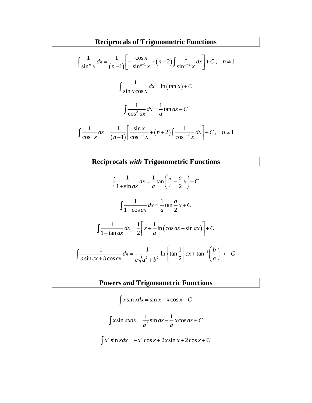# **Reciprocals of Trigonometric Functions**

$$
\int \frac{1}{\sin^n x} dx = \frac{1}{(n-1)} \left[ -\frac{\cos x}{\sin^{n-1} x} + (n-2) \int \frac{1}{\sin^{n-2} x} dx \right] + C, \quad n \neq 1
$$
  

$$
\int \frac{1}{\sin x \cos x} dx = \ln(\tan x) + C
$$
  

$$
\int \frac{1}{\cos^2 ax} dx = \frac{1}{a} \tan ax + C
$$
  

$$
\int \frac{1}{\cos^n x} dx = \frac{1}{(n-1)} \left[ \frac{\sin x}{\cos^{n-1} x} + (n+2) \int \frac{1}{\cos^{n-2} x} dx \right] + C, \quad n \neq 1
$$

# **Reciprocals** *with* **Trigonometric Functions**

$$
\int \frac{1}{1+\sin ax} dx = \frac{1}{a} \tan\left(\frac{\pi}{4} - \frac{a}{2}x\right) + C
$$
  

$$
\int \frac{1}{1+\cos ax} dx = \frac{1}{a} \tan\frac{a}{2}x + C
$$
  

$$
\int \frac{1}{1+\tan ax} dx = \frac{1}{2} \left[x + \frac{1}{a} \ln\left(\cos ax + \sin ax\right)\right] + C
$$

$$
\int \frac{1}{a\sin cx + b\cos cx} dx = \frac{1}{c\sqrt{a^2 + b^2}} \ln\left\{\tan\frac{1}{2}\left[ cx + \tan^{-1}\left(\frac{b}{a}\right) \right] \right\} + C
$$

## **Powers** *and* **Trigonometric Functions**

$$
\int x \sin x dx = \sin x - x \cos x + C
$$

$$
\int x \sin ax dx = \frac{1}{a^2} \sin ax - \frac{1}{a} x \cos ax + C
$$

$$
\int x^2 \sin x dx = -x^2 \cos x + 2x \sin x + 2 \cos x + C
$$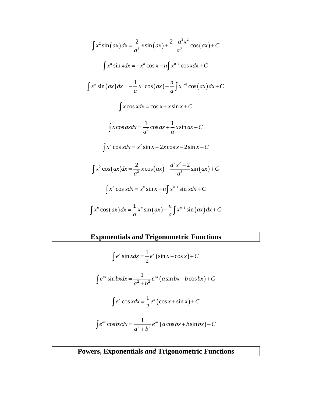$$
\int x^2 \sin(ax) dx = \frac{2}{a^2} x \sin(ax) + \frac{2 - a^2 x^2}{a^3} \cos(ax) + C
$$
  

$$
\int x^n \sin x dx = -x^n \cos x + n \int x^{n-1} \cos x dx + C
$$
  

$$
\int x^n \sin(ax) dx = -\frac{1}{a} x^n \cos(ax) + \frac{n}{a} \int x^{n-1} \cos(ax) dx + C
$$
  

$$
\int x \cos x dx = \cos x + x \sin x + C
$$
  

$$
\int x \cos ax dx = \frac{1}{a^2} \cos ax + \frac{1}{a} x \sin ax + C
$$
  

$$
\int x^2 \cos x dx = x^2 \sin x + 2x \cos x - 2 \sin x + C
$$
  

$$
\int x^2 \cos(ax) dx = \frac{2}{a^2} x \cos(ax) + \frac{a^2 x^2 - 2}{a^3} \sin(ax) + C
$$
  

$$
\int x^n \cos x dx = x^n \sin x - n \int x^{n-1} \sin x dx + C
$$
  

$$
\int x^n \cos(ax) dx = \frac{1}{a} x^n \sin(ax) - \frac{n}{a} \int x^{n-1} \sin(ax) dx + C
$$

# **Exponentials** *and* **Trigonometric Functions**

$$
\int e^x \sin x dx = \frac{1}{2} e^x (\sin x - \cos x) + C
$$
  

$$
\int e^{ax} \sin bx dx = \frac{1}{a^2 + b^2} e^{ax} (a \sin bx - b \cos bx) + C
$$
  

$$
\int e^x \cos x dx = \frac{1}{2} e^x (\cos x + \sin x) + C
$$
  

$$
\int e^{ax} \cos bx dx = \frac{1}{a^2 + b^2} e^{ax} (a \cos bx + b \sin bx) + C
$$

# **Powers, Exponentials** *and* **Trigonometric Functions**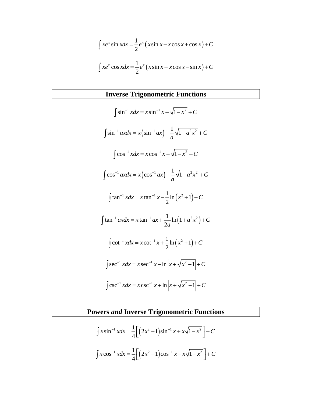$$
\int xe^x \sin x dx = \frac{1}{2} e^x (x \sin x - x \cos x + \cos x) + C
$$
  

$$
\int xe^x \cos x dx = \frac{1}{2} e^x (x \sin x + x \cos x - \sin x) + C
$$

# **Inverse Trigonometric Functions**

$$
\int \sin^{-1} x dx = x \sin^{-1} x + \sqrt{1 - x^2} + C
$$
  

$$
\int \sin^{-1} ax dx = x (\sin^{-1} ax) + \frac{1}{a} \sqrt{1 - a^2 x^2} + C
$$
  

$$
\int \cos^{-1} x dx = x \cos^{-1} x - \sqrt{1 - x^2} + C
$$
  

$$
\int \cos^{-1} ax dx = x (\cos^{-1} ax) - \frac{1}{a} \sqrt{1 - a^2 x^2} + C
$$
  

$$
\int \tan^{-1} x dx = x \tan^{-1} x - \frac{1}{2} \ln (x^2 + 1) + C
$$
  

$$
\int \tan^{-1} ax dx = x \tan^{-1} ax + \frac{1}{2a} \ln (1 + a^2 x^2) + C
$$
  

$$
\int \cot^{-1} x dx = x \cot^{-1} x + \frac{1}{2} \ln (x^2 + 1) + C
$$
  

$$
\int \sec^{-1} x dx = x \sec^{-1} x - \ln |x + \sqrt{x^2 - 1}| + C
$$
  

$$
\int \csc^{-1} x dx = x \csc^{-1} x + \ln |x + \sqrt{x^2 - 1}| + C
$$

# **Powers** *and* **Inverse Trigonometric Functions**

$$
\int x \sin^{-1} x dx = \frac{1}{4} \left[ \left( 2x^2 - 1 \right) \sin^{-1} x + x \sqrt{1 - x^2} \right] + C
$$
  

$$
\int x \cos^{-1} x dx = \frac{1}{4} \left[ \left( 2x^2 - 1 \right) \cos^{-1} x - x \sqrt{1 - x^2} \right] + C
$$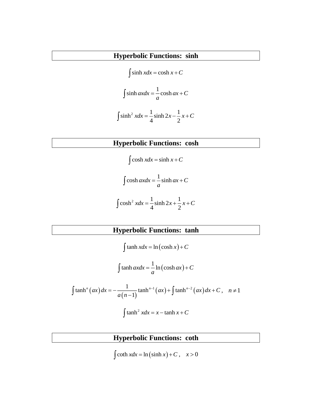#### **Hyperbolic Functions: sinh**

$$
\int \sinh x dx = \cosh x + C
$$

$$
\int \sinh ax dx = \frac{1}{a} \cosh ax + C
$$

$$
\int \sinh^2 x dx = \frac{1}{4} \sinh 2x - \frac{1}{2} x + C
$$

## **Hyperbolic Functions: cosh**

 $\int \cosh x dx = \sinh x + C$ 

$$
\int \cosh ax dx = \frac{1}{a} \sinh ax + C
$$

$$
\int \cosh^2 x dx = \frac{1}{4} \sinh 2x + \frac{1}{2} x + C
$$

#### **Hyperbolic Functions: tanh**

$$
\int \tanh x dx = \ln(\cosh x) + C
$$

$$
\int \tanh ax dx = \frac{1}{a} \ln(\cosh ax) + C
$$

$$
\int \tanh^{n} (ax) dx = -\frac{1}{a(n-1)} \tanh^{n-1} (ax) + \int \tanh^{n-2} (ax) dx + C, \quad n \neq 1
$$

$$
\int \tanh^{2} x dx = x - \tanh x + C
$$

**Hyperbolic Functions: coth**

 $\int \coth x dx = \ln(\sinh x) + C$ ,  $x > 0$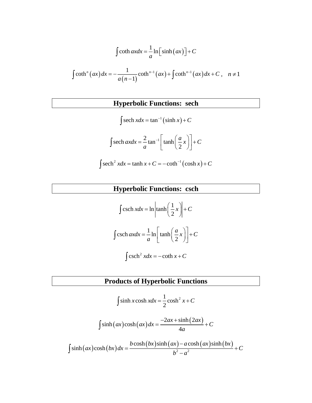$$
\int \coth ax dx = \frac{1}{a} \ln \left[ \sinh(ax) \right] + C
$$
  

$$
\int \coth^{n} (ax) dx = -\frac{1}{a(n-1)} \coth^{n-1} (ax) + \int \coth^{n-1} (ax) dx + C, \quad n \neq 1
$$

# **Hyperbolic Functions: sech**

$$
\int \operatorname{sech} x dx = \tan^{-1} \left( \sinh x \right) + C
$$

$$
\int \operatorname{sech} ax dx = \frac{2}{a} \tan^{-1} \left[ \tanh \left( \frac{a}{2} x \right) \right] + C
$$

$$
\int \operatorname{sech}^2 x dx = \tanh x + C = -\coth^{-1}(\cosh x) + C
$$

# **Hyperbolic Functions: csch**

$$
\int \operatorname{csch} x dx = \ln \left| \tanh \left( \frac{1}{2} x \right) \right| + C
$$
  

$$
\int \operatorname{csch} ax dx = \frac{1}{a} \ln \left[ \tanh \left( \frac{a}{2} x \right) \right] + C
$$
  

$$
\int \operatorname{csch}^2 x dx = -\coth x + C
$$

# **Products of Hyperbolic Functions**

$$
\int \sinh x \cosh x dx = \frac{1}{2} \cosh^2 x + C
$$

$$
\int \sinh (ax) \cosh (ax) dx = \frac{-2ax + \sinh (2ax)}{4a} + C
$$

$$
\int \sinh (ax) \cosh (bx) dx = \frac{b \cosh (bx) \sinh (ax) - a \cosh (ax) \sinh (bx)}{b^2 - a^2} + C
$$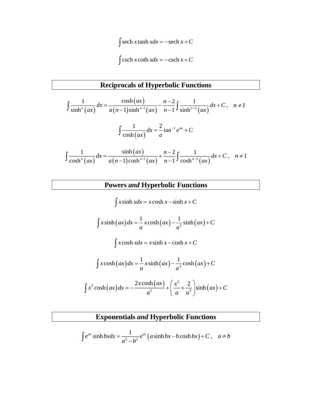$\int \operatorname{sech} x \tanh x dx = -\operatorname{sech} x + C$ 

 $\int \text{csch } x \text{coth } x dx = -\text{csch } x + C$ 

## **Reciprocals of Hyperbolic Functions**

$$
\int \frac{1}{\sinh^{n}(ax)} dx = \frac{\cosh(ax)}{a(n-1)\sinh^{n-1}(ax)} - \frac{n-2}{n-1} \int \frac{1}{\sinh^{n-2}(ax)} dx + C, \quad n \neq 1
$$

$$
\int \frac{1}{\cosh(ax)} dx = \frac{2}{a} \tan^{-1} e^{ax} + C
$$

$$
\int \frac{1}{\cosh^{n}(ax)} dx = \frac{\sinh(ax)}{a(n-1)\cosh^{n-1}(ax)} + \frac{n-2}{n-1} \int \frac{1}{\cosh^{n-2}(ax)} dx + C, \quad n \neq 1
$$

#### **Powers** *and* **Hyperbolic Functions**

$$
\int x \sinh x dx = x \cosh x - \sinh x + C
$$

$$
\int x \sinh(ax) dx = \frac{1}{a} x \cosh(ax) - \frac{1}{a^2} \sinh(ax) + C
$$

 $\int x \cosh x dx = x \sinh x - \cosh x + C$ 

$$
\int x \cosh(ax) dx = \frac{1}{a} x \sinh(ax) - \frac{1}{a^2} \cosh(ax) + C
$$

$$
\int x^2 \cosh(ax) dx = -\frac{2x \cosh(ax)}{a^2} + \left(\frac{x^2}{a} + \frac{2}{a^3}\right) \sinh(ax) + C
$$

# **Exponentials** *and* **Hyperbolic Functions**

$$
\int e^{ax} \sinh bx dx = \frac{1}{a^2 - b^2} e^{ax} (a \sinh bx - b \cosh bx) + C , \quad a \neq b
$$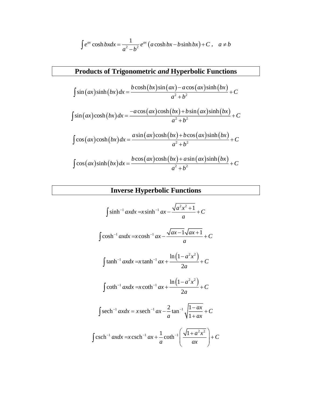$$
\int e^{ax} \cosh bx dx = \frac{1}{a^2 - b^2} e^{ax} (a \cosh bx - b \sinh bx) + C \,, \quad a \neq b
$$

#### **Products of Trigonometric** *and* **Hyperbolic Functions**  $(ax)$ sinh $(bx)$  $(bx) \sin(ax) - a \cos(ax) \sinh(bx)$ 2.12  $\cosh(bx)\sin(a x) - a\cos(a x)\sinh$ sin ( $ax$ ) sinh  $b \cosh(bx) \sin(a x) - a \cos(a x) \sinh(bx)$ *ax bx dx C*  $a^2 + b$  $=\frac{v \cos((\alpha x) \sin((\alpha x) - \alpha \cos((\alpha x) \sin((\alpha x))))}{\alpha}+$  $\int \sin(ax)\sinh(bx)dx = \frac{b\cosh(bx)\sin(ax)}{a^2 +}$  $(ax) \cosh(bx)$  $(ax) \cosh(bx) + b \sin(ax) \sinh(bx)$ 2.12  $\cos(ax)\cosh(bx) + b\sin(ax)\sinh$ sin (*ax*) cosh  $a \cos(ax) \cosh(bx) + b \sin(ax) \sinh(bx)$  $ax \log h(bx) dx =$   $\frac{c^{n} - c^{n}}{2} + C$  $a^2 + b$  $=\frac{-a\cos(ax)\cosh(bx)+b\sin(ax)\sinh(bx)}{b}+$  $\int \sin(ax) \cosh(bx) dx = \frac{-a \cos(ax) \cosh(ax)}{a^2 + a^2}$  $(ax) \cosh(bx)$  $\frac{(ax)\cosh(bx)+b\cos(ax)\sinh(bx)}{a^2+b^2}$  $\frac{a^2 + b^2}{a^2 + b^2}$ <br>sin(ax)cosh(bx)+bcos(ax)sinh  $cos(ax) cosh$  $\frac{a^2 + b^2}{a^2 + b^2}$ <br>a sin(ax)cosh(bx)+bcos(ax)sinh(bx) *a<sup>2</sup>* + *b<sup>2</sup>*<br>*ax*)cosh  $(bx)dx = \frac{a\sin(ax)\cosh(bx) + b\cos(ax)\sinh(bx)}{a^2 + b^2} + C$  $\frac{ax}{a^2+b}$ +  $a^2 + b^2$ <br> $\int \cos(ax)\cosh(bx)dx = \frac{a\sin(ax)\cosh(bx) + b\cos(ax)\sinh(bx)}{a^2 + b^2} + C$  $(ax)$ sinh $(bx)$  $(ax) \cosh(bx) + a \sin(ax) \sinh(bx)$ 2. 12  $\cos(ax)\cosh(bx) + a\sin(ax)\sinh$  $\cos(ax)\sinh$  $b \cos(a x) \cosh(b x) + a \sin(a x) \sinh(b x)$  $ax$ *dx*  $\frac{dx}{dx} = \frac{1}{x}$  $a^2 + b$  $=\frac{b\cos(ax)\cosh(bx)+a\sin(ax)\sinh(bx)}{b}+$  $\int \cos(ax)\sinh(bx)dx = \frac{b\cos(ax)\cosh(bx)+b\cos(ax)}{a^2+1}$

#### **Inverse Hyperbolic Functions**

$$
\int \sinh^{-1} ax dx = x \sinh^{-1} ax - \frac{\sqrt{a^2 x^2 + 1}}{a} + C
$$
  

$$
\int \cosh^{-1} ax dx = x \cosh^{-1} ax - \frac{\sqrt{ax - 1} \sqrt{ax + 1}}{a} + C
$$
  

$$
\int \tanh^{-1} ax dx = x \tanh^{-1} ax + \frac{\ln(1 - a^2 x^2)}{2a} + C
$$
  

$$
\int \coth^{-1} ax dx = x \coth^{-1} ax + \frac{\ln(1 - a^2 x^2)}{2a} + C
$$
  

$$
\int \operatorname{sech}^{-1} ax dx = x \operatorname{sech}^{-1} ax - \frac{2}{a} \tan^{-1} \sqrt{\frac{1 - ax}{1 + ax}} + C
$$
  

$$
\int \operatorname{csch}^{-1} ax dx = x \operatorname{csch}^{-1} ax + \frac{1}{a} \coth^{-1} \left( \frac{\sqrt{1 + a^2 x^2}}{ax} \right) + C
$$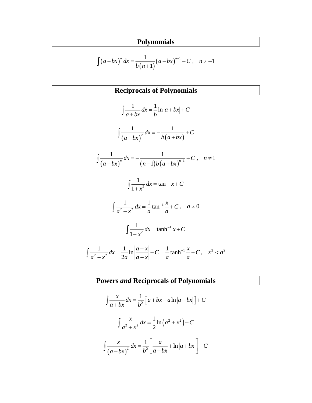#### **Polynomials**

$$
\int (a+bx)^n dx = \frac{1}{b(n+1)} (a+bx)^{n+1} + C, \quad n \neq -1
$$

#### **Reciprocals of Polynomials**

$$
\int \frac{1}{a+bx} dx = \frac{1}{b} \ln |a+bx| + C
$$
  

$$
\int \frac{1}{(a+bx)^2} dx = -\frac{1}{b(a+bx)} + C
$$
  

$$
\int \frac{1}{(a+bx)^n} dx = -\frac{1}{(n-1)b(a+bx)^{n-1}} + C, \quad n \neq 1
$$
  

$$
\int \frac{1}{1+x^2} dx = \tan^{-1} x + C
$$
  

$$
\int \frac{1}{a^2 + x^2} dx = \frac{1}{a} \tan^{-1} \frac{x}{a} + C, \quad a \neq 0
$$
  

$$
\int \frac{1}{1-x^2} dx = \tanh^{-1} x + C
$$
  

$$
\int \frac{1}{a^2 - x^2} dx = \frac{1}{2a} \ln \left| \frac{a+x}{a-x} \right| + C = \frac{1}{a} \tanh^{-1} \frac{x}{a} + C, \quad x^2 < a^2
$$

**Powers** *and* **Reciprocals of Polynomials**

2  $\frac{x}{b^2}dx = \frac{1}{b^2} \Big[ a + bx - a \ln |a + bx| \Big] + C$  $\int \frac{x}{a+bx} dx = \frac{1}{b^2} \Big[ a + bx - a \ln |a+bx| \Big] + C$  $(a^2+x^2)$ 2 2 1 ln 2  $\frac{x}{2}dx = -\ln(a^2 + x^2) + C$ *a x*  $= - \ln (a^2 + x^2) +$  $\int \frac{x}{a^2+1}$  $(a+bx)^2$   $b^2$  $\frac{x}{dx} = \frac{1}{x} \left| \frac{a}{1} + \ln|a| + bx \right| + C$  $a + bx$ <sup>2</sup>  $b^2 | a + bx$  $\int \frac{x}{(a+bx)^2} dx = \frac{1}{b^2} \left[ \frac{a}{a+bx} + \ln|a+bx| \right] +$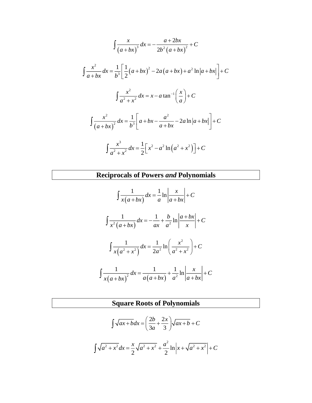$$
\int \frac{x}{(a+bx)^3} dx = -\frac{a+2bx}{2b^2(a+bx)^2} + C
$$
  

$$
\int \frac{x^2}{a+bx} dx = \frac{1}{b^3} \left[ \frac{1}{2} (a+bx)^2 - 2a(a+bx) + a^2 \ln|a+bx| \right] + C
$$
  

$$
\int \frac{x^2}{a^2 + x^2} dx = x - a \tan^{-1} \left( \frac{x}{a} \right) + C
$$
  

$$
\int \frac{x^2}{(a+bx)^2} dx = \frac{1}{b^3} \left[ a + bx - \frac{a^2}{a+bx} - 2a \ln|a+bx| \right] + C
$$
  

$$
\int \frac{x^3}{a^2 + x^2} dx = \frac{1}{2} \left[ x^2 - a^2 \ln(a^2 + x^2) \right] + C
$$

# **Reciprocals of Powers** *and* **Polynomials**

$$
\int \frac{1}{x(a+bx)} dx = \frac{1}{a} \ln \left| \frac{x}{a+bx} \right| + C
$$
  

$$
\int \frac{1}{x^2(a+bx)} dx = -\frac{1}{ax} + \frac{b}{a^2} \ln \left| \frac{a+bx}{x} \right| + C
$$
  

$$
\int \frac{1}{x(a^2+x^2)} dx = \frac{1}{2a^2} \ln \left( \frac{x^2}{a^2+x^2} \right) + C
$$
  

$$
\int \frac{1}{x(a+bx)^2} dx = \frac{1}{a(a+bx)} + \frac{1}{a^2} \ln \left| \frac{x}{a+bx} \right| + C
$$

# **Square Roots of Polynomials**

$$
\int \sqrt{ax + b} \, dx = \left(\frac{2b}{3a} + \frac{2x}{3}\right) \sqrt{ax + b} + C
$$
\n
$$
\int \sqrt{a^2 + x^2} \, dx = \frac{x}{2} \sqrt{a^2 + x^2} + \frac{a^2}{2} \ln \left| x + \sqrt{a^2 + x^2} \right| + C
$$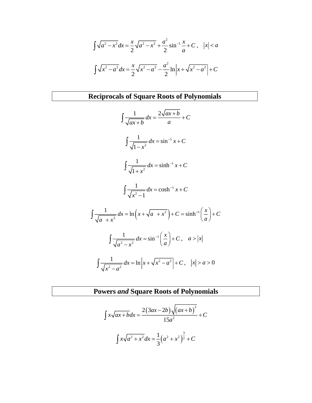$$
\int \sqrt{a^2 - x^2} dx = \frac{x}{2} \sqrt{a^2 - x^2} + \frac{a^2}{2} \sin^{-1} \frac{x}{a} + C , \quad |x| < a
$$

$$
\int \sqrt{x^2 - a^2} dx = \frac{x}{2} \sqrt{x^2 - a^2} - \frac{a^2}{2} \ln|x + \sqrt{x^2 - a^2}| + C
$$

# **Reciprocals of Square Roots of Polynomials**

$$
\int \frac{1}{\sqrt{ax+b}} dx = \frac{2\sqrt{ax+b}}{a} + C
$$
  

$$
\int \frac{1}{\sqrt{1-x^2}} dx = \sin^{-1} x + C
$$
  

$$
\int \frac{1}{\sqrt{1+x^2}} dx = \sin^{-1} x + C
$$
  

$$
\int \frac{1}{\sqrt{x^2-1}} dx = \cosh^{-1} x + C
$$
  

$$
\int \frac{1}{\sqrt{a^2-x^2}} dx = \ln\left(x + \sqrt{a^2+x^2}\right) + C = \sinh^{-1}\left(\frac{x}{a}\right) + C
$$
  

$$
\int \frac{1}{\sqrt{a^2-x^2}} dx = \sin^{-1}\left(\frac{x}{a}\right) + C, \quad a > |x|
$$
  

$$
\int \frac{1}{\sqrt{x^2-a^2}} dx = \ln|x + \sqrt{x^2-a^2}| + C, \quad |x| > a > 0
$$

**Powers** *and* **Square Roots of Polynomials**

$$
\int x\sqrt{ax+bdx} = \frac{2(3ax-2b)\sqrt{(ax+b)^3}}{15a^2} + C
$$

$$
\int x\sqrt{a^2 + x^2} dx = \frac{1}{3}(a^2 + x^2)^{\frac{3}{2}} + C
$$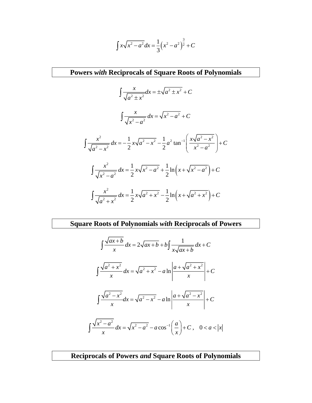$$
\int x\sqrt{x^2 - a^2} dx = \frac{1}{3} (x^2 - a^2)^{\frac{3}{2}} + C
$$

**Powers** *with* **Reciprocals of Square Roots of Polynomials**

$$
\int \frac{x}{\sqrt{a^2 \pm x^2}} dx = \pm \sqrt{a^2 \pm x^2} + C
$$
  

$$
\int \frac{x}{\sqrt{x^2 - a^2}} dx = \sqrt{x^2 - a^2} + C
$$
  

$$
\int \frac{x^2}{\sqrt{a^2 - x^2}} dx = -\frac{1}{2} x \sqrt{a^2 - x^2} - \frac{1}{2} a^2 \tan^{-1} \left( \frac{x \sqrt{a^2 - x^2}}{x^2 - a^2} \right) + C
$$
  

$$
\int \frac{x^2}{\sqrt{x^2 - a^2}} dx = \frac{1}{2} x \sqrt{x^2 - a^2} + \frac{1}{2} \ln \left( x + \sqrt{x^2 - a^2} \right) + C
$$
  

$$
\int \frac{x^2}{\sqrt{a^2 + x^2}} dx = \frac{1}{2} x \sqrt{a^2 + x^2} - \frac{1}{2} \ln \left( x + \sqrt{a^2 + x^2} \right) + C
$$

**Square Roots of Polynomials** *with* **Reciprocals of Powers**

$$
\int \frac{\sqrt{ax+b}}{x} dx = 2\sqrt{ax+b} + b \int \frac{1}{x\sqrt{ax+b}} dx + C
$$
  

$$
\int \frac{\sqrt{a^2 + x^2}}{x} dx = \sqrt{a^2 + x^2} - a \ln \left| \frac{a + \sqrt{a^2 + x^2}}{x} \right| + C
$$

$$
\int \frac{\sqrt{a^2 - x^2}}{x} dx = \sqrt{a^2 - x^2} - a \ln \left| \frac{a + \sqrt{a^2 - x^2}}{x} \right| + C
$$

$$
\int \frac{\sqrt{x^2 - a^2}}{x} dx = \sqrt{x^2 - a^2} - a \cos^{-1}\left(\frac{a}{x}\right) + C, \quad 0 < a < |x|
$$

**Reciprocals of Powers** *and* **Square Roots of Polynomials**